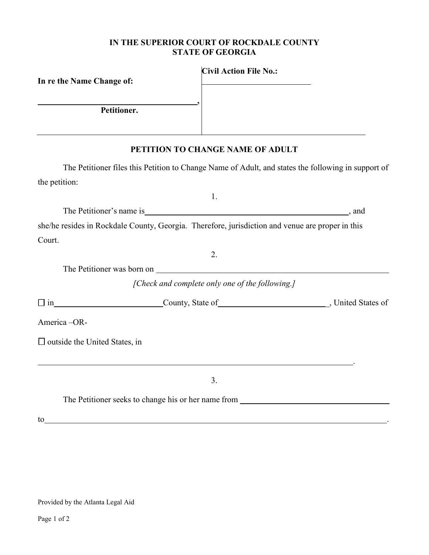## **IN THE SUPERIOR COURT OF ROCKDALE COUNTY STATE OF GEORGIA**

| In re the Name Change of:                                                                        | <b>Civil Action File No.:</b>                   |                                                                                                    |
|--------------------------------------------------------------------------------------------------|-------------------------------------------------|----------------------------------------------------------------------------------------------------|
|                                                                                                  |                                                 |                                                                                                    |
| Petitioner.                                                                                      |                                                 |                                                                                                    |
|                                                                                                  | PETITION TO CHANGE NAME OF ADULT                |                                                                                                    |
|                                                                                                  |                                                 | The Petitioner files this Petition to Change Name of Adult, and states the following in support of |
| the petition:                                                                                    |                                                 |                                                                                                    |
|                                                                                                  | 1.                                              |                                                                                                    |
|                                                                                                  |                                                 |                                                                                                    |
| she/he resides in Rockdale County, Georgia. Therefore, jurisdiction and venue are proper in this |                                                 |                                                                                                    |
| Court.                                                                                           |                                                 |                                                                                                    |
|                                                                                                  | 2.                                              |                                                                                                    |
| The Petitioner was born on University of the Petitioner was born on                              |                                                 |                                                                                                    |
|                                                                                                  | [Check and complete only one of the following.] |                                                                                                    |
|                                                                                                  |                                                 |                                                                                                    |
| America-OR-                                                                                      |                                                 |                                                                                                    |
| $\Box$ outside the United States, in                                                             |                                                 |                                                                                                    |
|                                                                                                  | 3.                                              |                                                                                                    |
| The Petitioner seeks to change his or her name from ____________________________                 |                                                 |                                                                                                    |
| to                                                                                               |                                                 |                                                                                                    |

Provided by the Atlanta Legal Aid